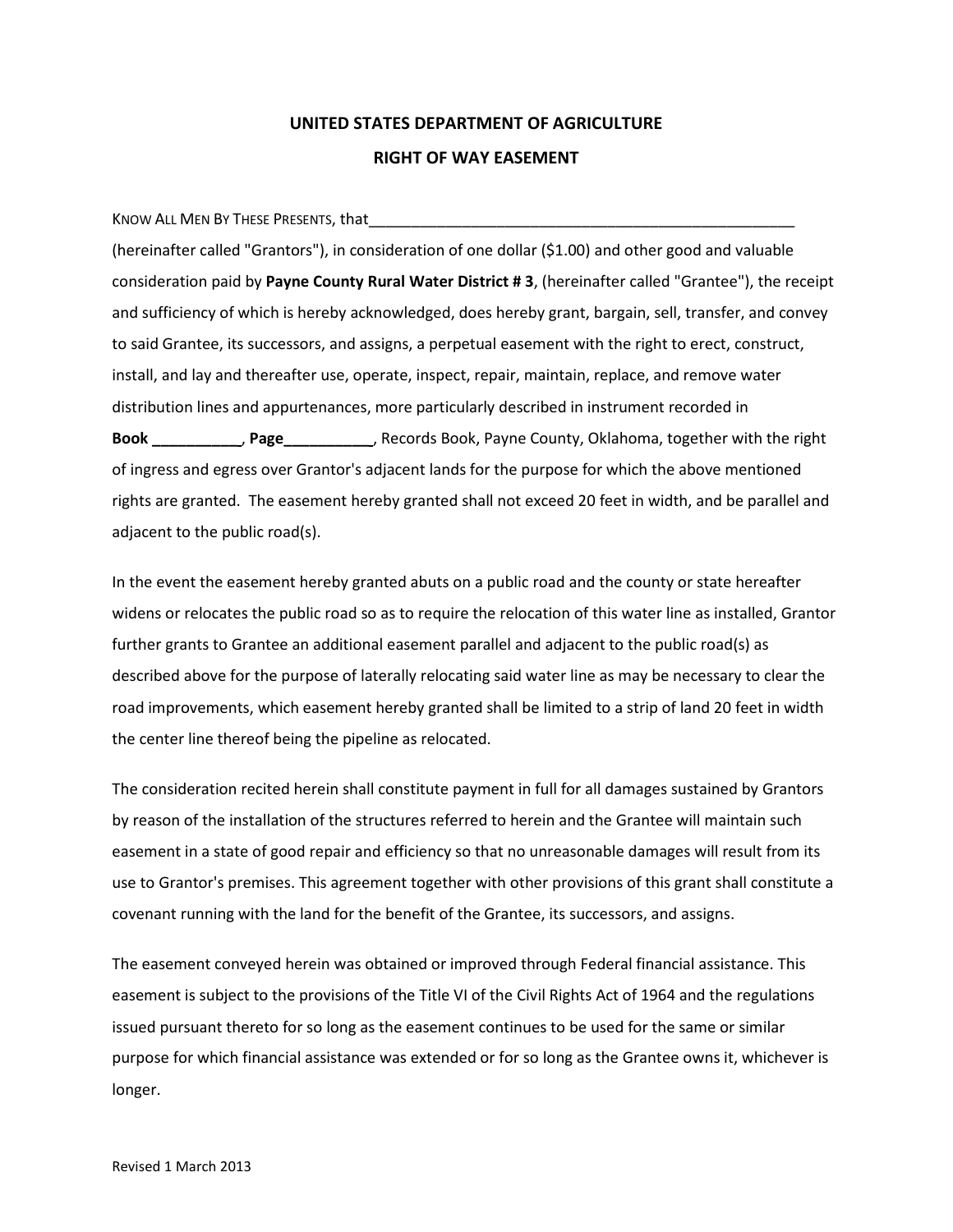## **UNITED STATES DEPARTMENT OF AGRICULTURE RIGHT OF WAY EASEMENT**

KNOW ALL MEN BY THESE PRESENTS, that

(hereinafter called "Grantors"), in consideration of one dollar (\$1.00) and other good and valuable consideration paid by **Payne County Rural Water District # 3**, (hereinafter called "Grantee"), the receipt and sufficiency of which is hereby acknowledged, does hereby grant, bargain, sell, transfer, and convey to said Grantee, its successors, and assigns, a perpetual easement with the right to erect, construct, install, and lay and thereafter use, operate, inspect, repair, maintain, replace, and remove water distribution lines and appurtenances, more particularly described in instrument recorded in **Book \_\_\_\_\_\_\_\_\_\_** , **Page\_\_\_\_\_\_\_\_\_\_** , Records Book, Payne County, Oklahoma, together with the right of ingress and egress over Grantor's adjacent lands for the purpose for which the above mentioned rights are granted. The easement hereby granted shall not exceed 20 feet in width, and be parallel and adjacent to the public road(s).

In the event the easement hereby granted abuts on a public road and the county or state hereafter widens or relocates the public road so as to require the relocation of this water line as installed, Grantor further grants to Grantee an additional easement parallel and adjacent to the public road(s) as described above for the purpose of laterally relocating said water line as may be necessary to clear the road improvements, which easement hereby granted shall be limited to a strip of land 20 feet in width the center line thereof being the pipeline as relocated.

The consideration recited herein shall constitute payment in full for all damages sustained by Grantors by reason of the installation of the structures referred to herein and the Grantee will maintain such easement in a state of good repair and efficiency so that no unreasonable damages will result from its use to Grantor's premises. This agreement together with other provisions of this grant shall constitute a covenant running with the land for the benefit of the Grantee, its successors, and assigns.

The easement conveyed herein was obtained or improved through Federal financial assistance. This easement is subject to the provisions of the Title VI of the Civil Rights Act of 1964 and the regulations issued pursuant thereto for so long as the easement continues to be used for the same or similar purpose for which financial assistance was extended or for so long as the Grantee owns it, whichever is longer.